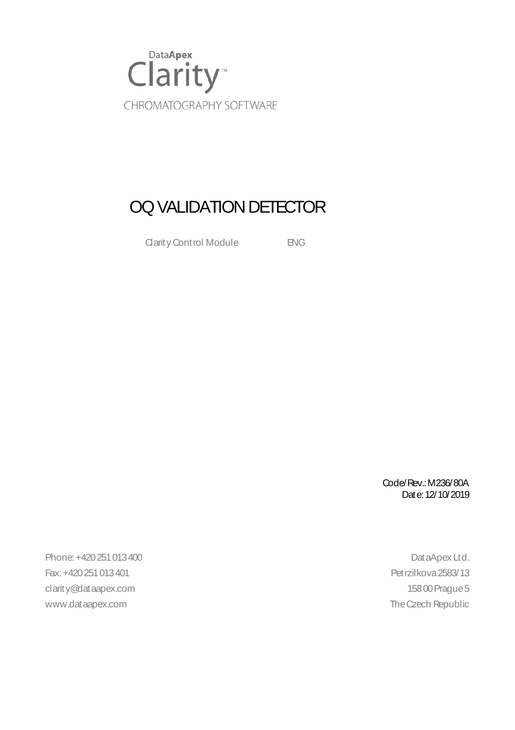

### OQ VALIDATION DETECTOR

Clarity Control Module **ENG** 

Code/Rev.:M236/80A Date:12/10/2019

Phone:+420251013400 DataApex Ltd. Fax:+420251013401 Petrzilkova2583/13 clarity@dataapex.com 15800 Prague 5 www.dataapex.com and the Czech Republic community of the Czech Republic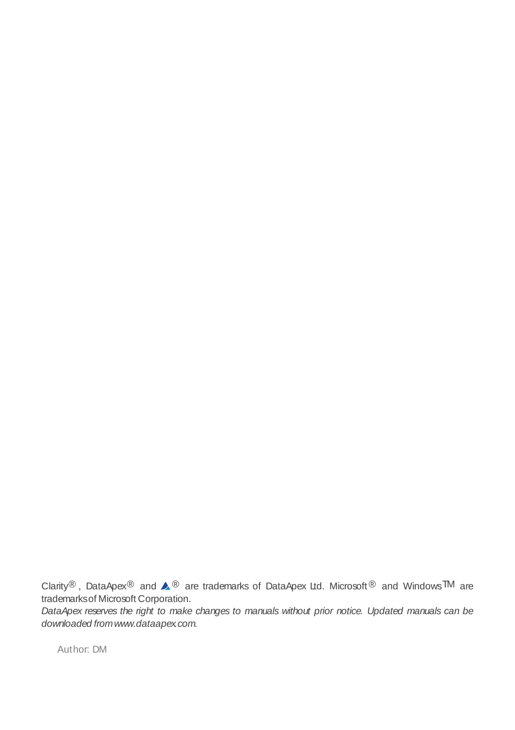Clarity®, DataApex<sup>®</sup> and  $\triangle$ <sup>®</sup> are trademarks of DataApex Ltd. Microsoft<sup>®</sup> and Windows<sup>TM</sup> are trademarksof Microsoft Corporation.

DataApex reserves the right to make changes to manuals without prior notice. Updated manuals can be downloaded fromwww.dataapex.com.

Author: DM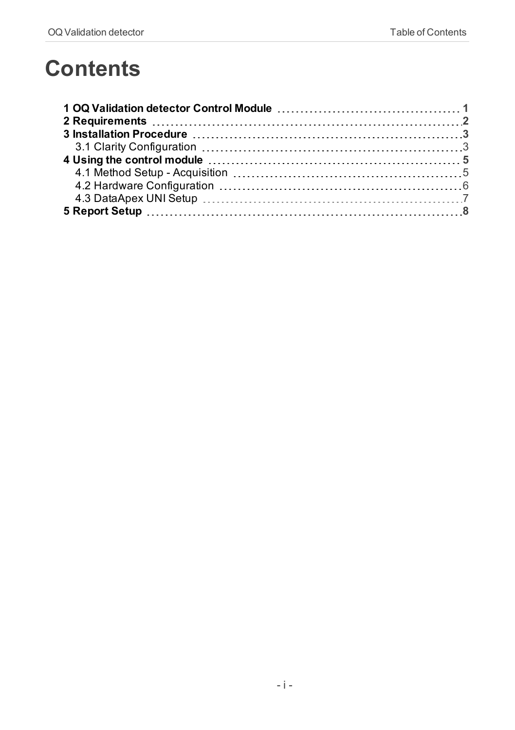## **Contents**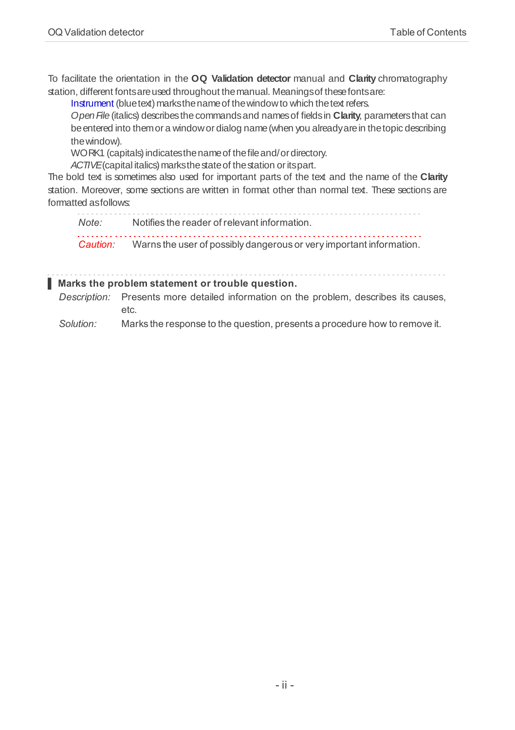To facilitate the orientation in the **OQ Validation detector** manual and **Clarity** chromatography station, different fontsareused throughout themanual. Meaningsof thesefontsare:

[Instrument](ms-its:Clarity.chm::/Help/020-instrument/020.000-instrument/020-instrument.htm) (blue text) marks the name of the window to which the text refers.

Open File (italics) describes the commands and names of fields in **Clarity**, parameters that can beentered into themor a windowor dialog name(when you alreadyarein thetopic describing thewindow).

WORK1 (capitals) indicates the name of the file and/or directory.

ACTIVE (capital italics) marks the state of the station or its part.

The bold text is sometimes also used for important parts of the text and the name of the **Clarity** station. Moreover, some sections are written in format other than normal text. These sections are formatted asfollows:

*Note:* Notifies the reader of relevant information. *Caution:* Warns the user of possibly dangerous or very important information.

#### **▌ Marks the problem statement or trouble question.**

*Description:* Presents more detailed information on the problem, describes its causes, etc.

*Solution:* Marks the response to the question, presents a procedure how to remove it.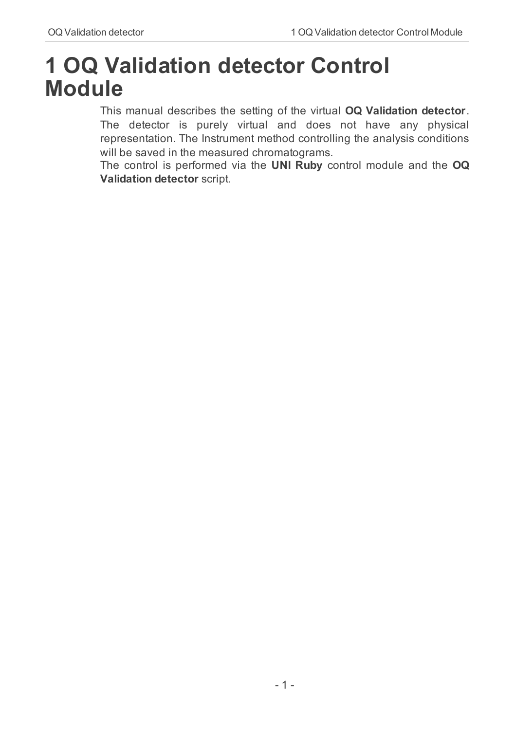### <span id="page-4-0"></span>**1 OQ Validation detector Control Module**

This manual describes the setting of the virtual **OQ Validation detector**. The detector is purely virtual and does not have any physical representation. The Instrument method controlling the analysis conditions will be saved in the measured chromatograms.

The control is performed via the **UNI Ruby** control module and the **OQ Validation detector** script.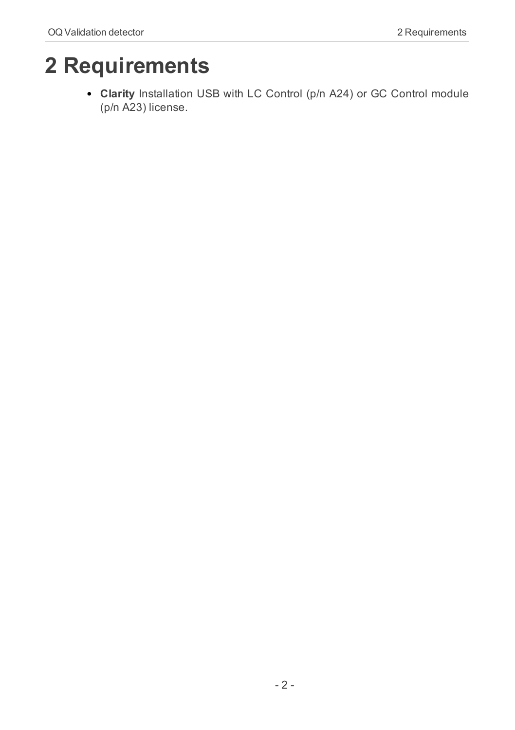# <span id="page-5-0"></span>**2 Requirements**

**Clarity** Installation USB with LC Control (p/n A24) or GC Control module (p/n A23) license.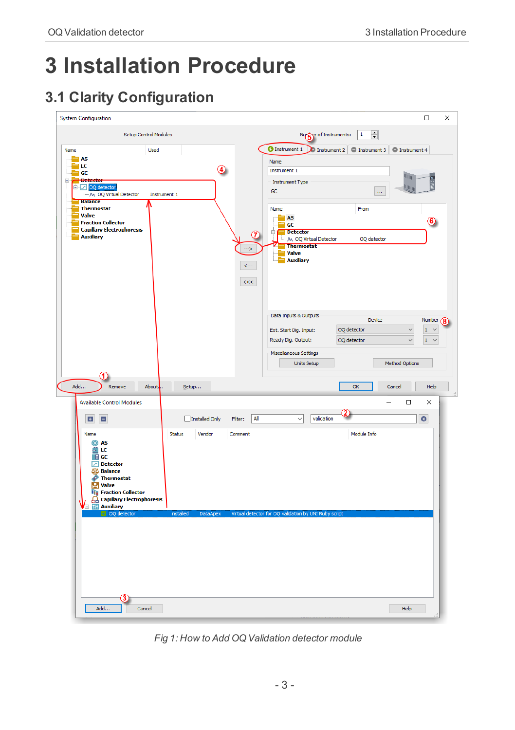# <span id="page-6-0"></span>**3 Installation Procedure**

### <span id="page-6-1"></span>**3.1 Clarity Configuration**

| <b>System Configuration</b>                                                                                                                                                                                                                                     | $\Box$<br>$\times$                                                                                                                                                                                                                             |
|-----------------------------------------------------------------------------------------------------------------------------------------------------------------------------------------------------------------------------------------------------------------|------------------------------------------------------------------------------------------------------------------------------------------------------------------------------------------------------------------------------------------------|
| Setup Control Modules                                                                                                                                                                                                                                           | $\div$<br>Nurger of Instruments:<br>$\mathbf 1$                                                                                                                                                                                                |
| Name<br>Used<br><b>AS</b>                                                                                                                                                                                                                                       | <b>O</b> Instrument 1<br>Instrument 2 $\boxed{\bigcirc}$ Instrument 3 $\boxed{\bigcirc}$ Instrument 4<br>Name                                                                                                                                  |
| ≒ιc<br>4<br>an GC<br><b>Detector</b><br>Θ<br>DO detector<br>M. OQ Virtual Detector<br>Instrument 1                                                                                                                                                              | Instrument 1<br>$\overline{\mathbb{H}}$<br><b>Instrument Type</b><br>加度<br>GC<br>$\ldots$                                                                                                                                                      |
| <b>Balance</b><br><b>Thermostat</b><br>Valve<br><b>Fraction Collector</b><br><b>Capillary Electrophoresis</b><br>7                                                                                                                                              | Name<br>From<br><b>AS</b><br>$\circledast$<br>GC<br><b>Detector</b><br>Θ                                                                                                                                                                       |
| <b>Auxiliary</b><br>--><br>$\leftarrow$<br>$<<$                                                                                                                                                                                                                 | M OQ Virtual Detector<br>OQ detector<br><b>Thermostat</b><br><b>Valve</b><br><b>Auxiliary</b>                                                                                                                                                  |
|                                                                                                                                                                                                                                                                 | Data Inputs & Outputs<br>Device<br>Number (8)<br>OQ detector<br>$1 - \sqrt{ }$<br>$\checkmark$<br>Ext. Start Dig. Input:<br>Ready Dig. Output:<br>OQ detector<br>$\mathbf 1$<br>$\checkmark$<br>$\ddot{\phantom{1}}$<br>Miscellaneous Settings |
|                                                                                                                                                                                                                                                                 | <b>Units Setup</b><br>Method Options                                                                                                                                                                                                           |
| Add<br>About.<br>Remove<br>Setup                                                                                                                                                                                                                                | OK<br>Cancel<br>Help                                                                                                                                                                                                                           |
| <b>Available Control Modules</b>                                                                                                                                                                                                                                | $\Box$<br>×                                                                                                                                                                                                                                    |
| All<br>Installed Only<br>E<br>Ξ<br>Filter:                                                                                                                                                                                                                      | validation<br>$\bullet$<br>$\checkmark$                                                                                                                                                                                                        |
| Name<br>Status<br>Vendor<br>Comment<br>@ AS<br>菌 LC<br>$\mathbb{F}$ GC<br>$\boxed{\triangle}$ Detector<br><b>Si</b> b Balance<br>Thermostat<br><b>M</b> Valve<br><b>Tij Fraction Collector</b><br><b>Capillary Electrophoresis</b><br><b>15 Auxiliary</b><br>∕⊟ | Module Info                                                                                                                                                                                                                                    |
| OO dete<br>installed<br><b>DataApex</b>                                                                                                                                                                                                                         | Virtual detector for OQ validation by UNI Ruby script                                                                                                                                                                                          |
| Add<br>Cancel                                                                                                                                                                                                                                                   | Help                                                                                                                                                                                                                                           |

*Fig 1: How to Add OQ Validation detector module*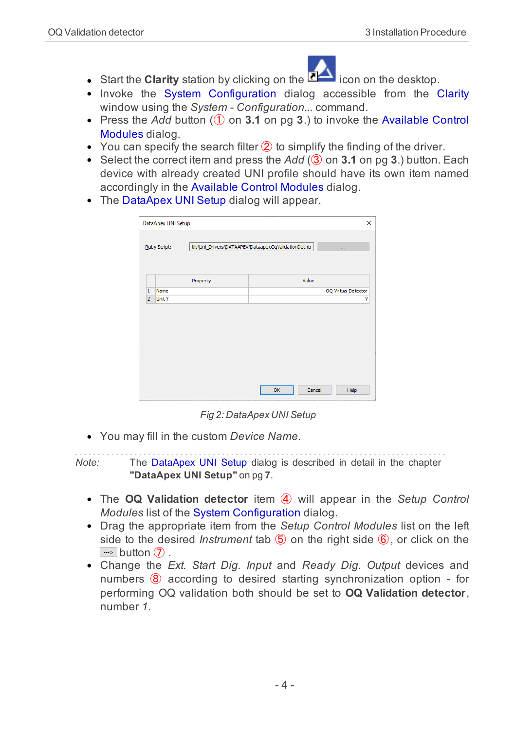

- **Start the Clarity** station by clicking on the **interest on the desktop.**
- Invoke the System [Configuration](ms-its:Clarity.chm::/Help/010-clarity/010.010-system/010.010-configuration.htm) dialog accessible from the [Clarity](ms-its:Clarity.chm::/Help/010-clarity/010.000-clarity/010-clarity.htm) window using the *System - Configuration...* command.
- Press the *Add* button (① on **[3.1](#page-6-1)** on pg **3**.) to invoke the [Available](ms-its:Clarity.chm::/Help/010-clarity/010.010-system/010.010-system-configuration-left.htm) Control [Modules](ms-its:Clarity.chm::/Help/010-clarity/010.010-system/010.010-system-configuration-left.htm) dialog.
- You can specify the search filter  $(2)$  to simplify the finding of the driver.
- Select the correct item and press the *Add* (3) on **[3.1](#page-6-1)** on pg **3**.) button. Each device with already created UNI profile should have its own item named accordingly in the [Available](ms-its:Clarity.chm::/Help/010-clarity/010.010-system/010.010-system-configuration-left.htm) Control Modules dialog.
- The [DataApex](#page-10-0) UNI Setup dialog will appear.

|                | DataApex UNI Setup |                                                      |  |    |        | ×                   |
|----------------|--------------------|------------------------------------------------------|--|----|--------|---------------------|
| Ruby Script:   |                    | tils\Uni_Drivers\DATAAPEX\DataapexOqValidationDet.rb |  |    |        | $\alpha$            |
|                |                    | Property                                             |  |    | Value  |                     |
| 1              | Name               |                                                      |  |    |        | OQ Virtual Detector |
| $\overline{2}$ | <b>Unit Y</b>      |                                                      |  |    |        | ٧                   |
|                |                    |                                                      |  |    |        |                     |
|                |                    |                                                      |  | OK | Cancel | Help                |

*Fig 2: DataApex UNI Setup*

You may fill in the custom *Device Name*.

*Note:* The DataApex UNI Setup dialog is described in detail in the [chapter](#page-10-0) **["DataApex](#page-10-0) UNI Setup"** on pg **7**.

- The **OQ Validation detector** item ④ will appear in the *Setup Control Modules* list of the System [Configuration](ms-its:Clarity.chm::/Help/010-clarity/010.010-system/010.010-configuration.htm) dialog.
- Drag the appropriate item from the *Setup Control Modules* list on the left side to the desired *Instrument* tab ⑤ on the right side ⑥, or click on the  $\rightarrow$  button  $\mathcal{D}$ .
- Change the *Ext. Start Dig. Input* and *Ready Dig. Output* devices and numbers  $\circled{8}$  according to desired starting synchronization option - for performing OQ validation both should be set to **OQ Validation detector**, number *1*.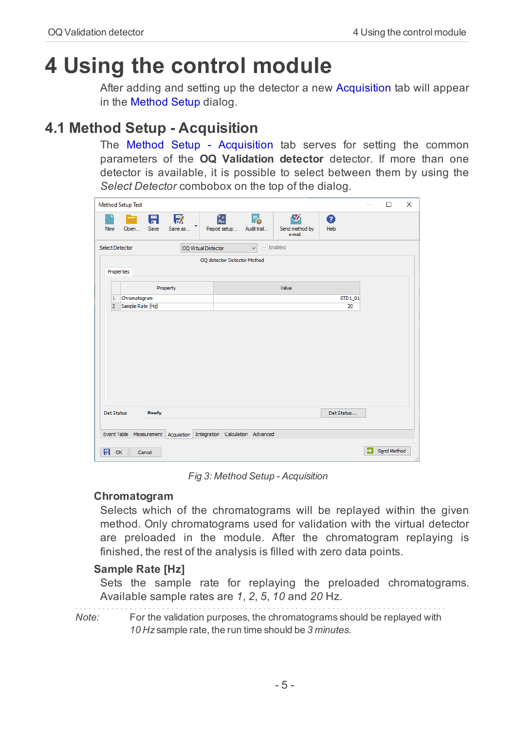# <span id="page-8-0"></span>**4 Using the control module**

After adding and setting up the detector a new [Acquisition](#page-8-1) tab will appear in the [Method](ms-its:Clarity.chm::/Help/020-instrument/020.040-method/020.040-method.htm) Setup dialog.

### <span id="page-8-1"></span>**4.1 Method Setup - Acquisition**

The Method Setup - Acquisition tab serves for setting the common parameters of the **OQ Validation detector** detector. If more than one detector is available, it is possible to select between them by using the *Select Detector* combobox on the top of the dialog.



*Fig 3: Method Setup - Acquisition*

#### **Chromatogram**

Selects which of the chromatograms will be replayed within the given method. Only chromatograms used for validation with the virtual detector are preloaded in the module. After the chromatogram replaying is finished, the rest of the analysis is filled with zero data points.

#### **Sample Rate [Hz]**

Sets the sample rate for replaying the preloaded chromatograms. Available sample rates are *1*, *2*, *5*, *10* and *20* Hz.

*Note:* For the validation purposes, the chromatograms should be replayed with *10 Hz* sample rate, the run time should be *3 minutes*.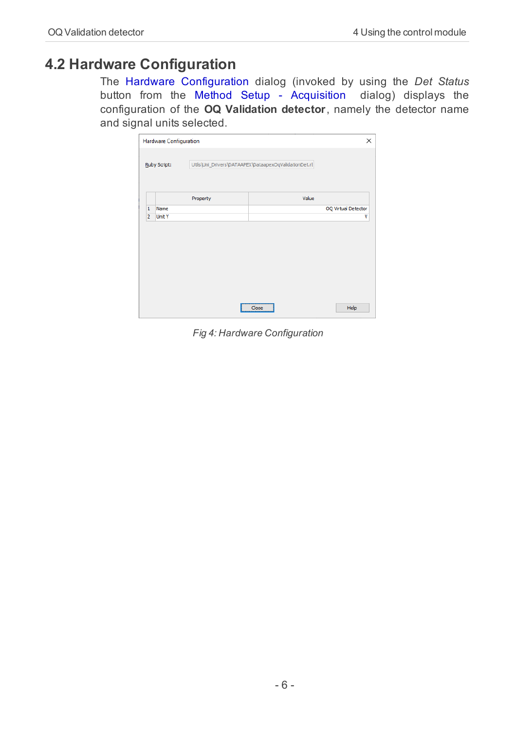### <span id="page-9-0"></span>**4.2 Hardware Configuration**

The Hardware Configuration dialog (invoked by using the *Det Status* button from the Method Setup - [Acquisition](#page-8-1) dialog) displays the configuration of the **OQ Validation detector**, namely the detector name and signal units selected.

|                | <b>Hardware Configuration</b> |                                                       | ×                   |
|----------------|-------------------------------|-------------------------------------------------------|---------------------|
| Ruby Script:   |                               | Utils\Uni_Drivers\DATAAPEX\DataapexOqValidationDet.rt |                     |
|                |                               | Property                                              | Value               |
| 1              | Name                          |                                                       | OQ Virtual Detector |
| $\overline{2}$ | <b>Unit Y</b>                 |                                                       | ۷                   |
|                |                               |                                                       |                     |
|                |                               |                                                       |                     |

*Fig 4: Hardware Configuration*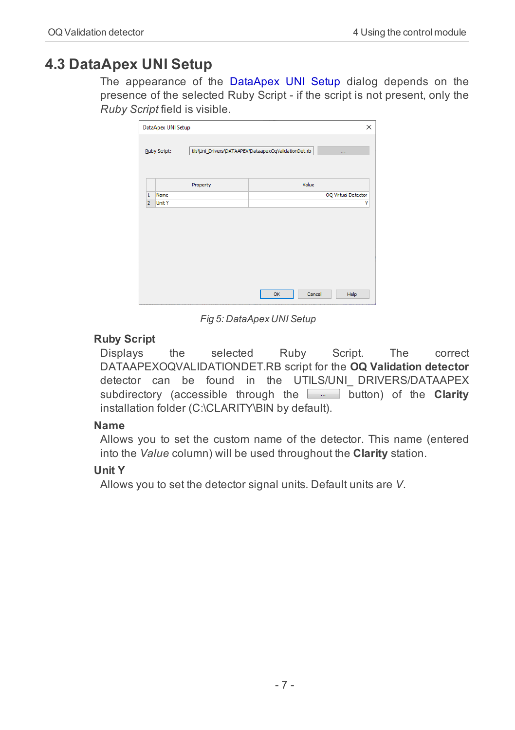### <span id="page-10-0"></span>**4.3 DataApex UNI Setup**

The appearance of the DataApex UNI Setup dialog depends on the presence of the selected Ruby Script - if the script is not present, only the *Ruby Script* field is visible.

|                | DataApex UNI Setup |                                                      |    |        | $\times$            |  |  |
|----------------|--------------------|------------------------------------------------------|----|--------|---------------------|--|--|
| Ruby Script:   |                    | tils\Uni_Drivers\DATAAPEX\DataapexOqValidationDet.rb |    |        | $\sim 100$          |  |  |
|                |                    | Property                                             |    | Value  |                     |  |  |
| $\mathbf{1}$   | Name               |                                                      |    |        | OQ Virtual Detector |  |  |
| $\overline{2}$ | <b>Unit Y</b>      |                                                      |    |        | v                   |  |  |
|                |                    |                                                      |    |        |                     |  |  |
|                |                    |                                                      |    |        |                     |  |  |
|                |                    |                                                      | OK | Cancel | Help                |  |  |

*Fig 5: DataApex UNI Setup*

#### **Ruby Script**

Displays the selected Ruby Script. The correct DATAAPEXOQVALIDATIONDET.RB script for the **OQ Validation detector** detector can be found in the UTILS/UNI\_ DRIVERS/DATAAPEX subdirectory (accessible through the **button**) of the **Clarity** installation folder (C:\CLARITY\BIN by default).

#### **Name**

Allows you to set the custom name of the detector. This name (entered into the *Value* column) will be used throughout the **Clarity** station.

#### **Unit Y**

Allows you to set the detector signal units. Default units are *V*.